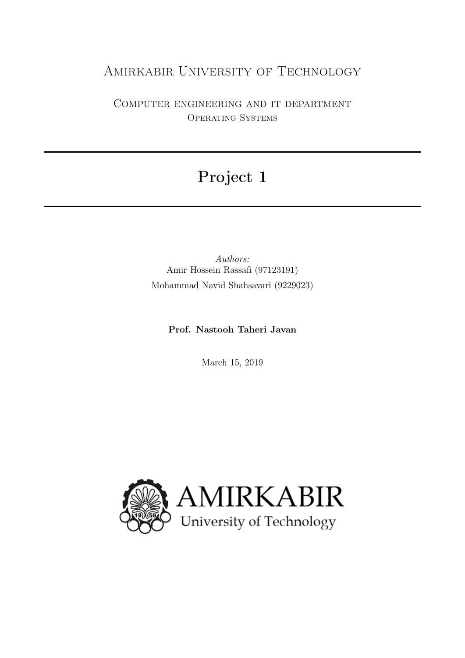## Amirkabir University of Technology

Computer engineering and it department Operating Systems

# Project 1

Authors: Amir Hossein Rassafi (97123191) Mohammad Navid Shahsavari (9229023)

Prof. Nastooh Taheri Javan

March 15, 2019

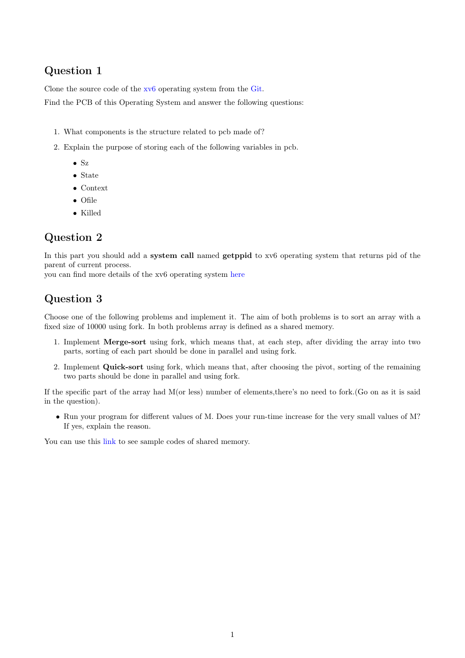#### Question 1

Clone the source code of the [xv6](https://en.wikipedia.org/wiki/Xv6) operating system from the [Git.](https://github.com/mit-pdos/xv6-public)

Find the PCB of this Operating System and answer the following questions:

- 1. What components is the structure related to pcb made of?
- 2. Explain the purpose of storing each of the following variables in pcb.
	- Sz
	- State
	- Context
	- Ofile
	- Killed

### Question 2

In this part you should add a system call named getppid to xv6 operating system that returns pid of the parent of current process.

you can find more details of the xv6 operating system [here](https://pdos.csail.mit.edu/6.828/2014/xv6.html)

## Question 3

Choose one of the following problems and implement it. The aim of both problems is to sort an array with a fixed size of 10000 using fork. In both problems array is defined as a shared memory.

- 1. Implement Merge-sort using fork, which means that, at each step, after dividing the array into two parts, sorting of each part should be done in parallel and using fork.
- 2. Implement Quick-sort using fork, which means that, after choosing the pivot, sorting of the remaining two parts should be done in parallel and using fork.

If the specific part of the array had M(or less) number of elements,there's no need to fork.(Go on as it is said in the question).

• Run your program for different values of M. Does your run-time increase for the very small values of M? If yes, explain the reason.

You can use this [link](http://users.cs.cf.ac.uk/Dave.Marshall/C/node27.html) to see sample codes of shared memory.